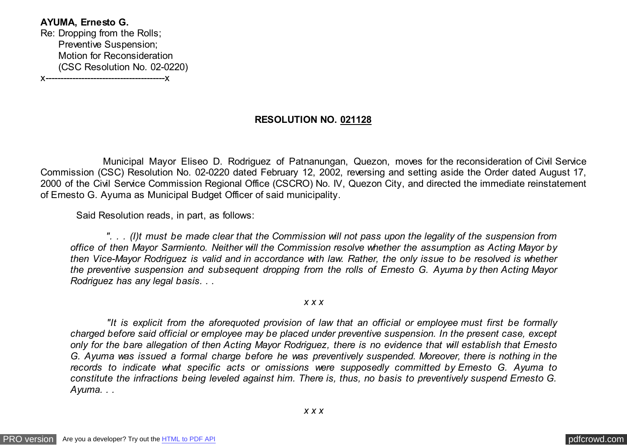**AYUMA, Ernesto G.** Re: Dropping from the Rolls; Preventive Suspension; Motion for Reconsideration (CSC Resolution No. 02-0220) x----------------------------------------x

## **RESOLUTION NO. 021128**

 Municipal Mayor Eliseo D. Rodriguez of Patnanungan, Quezon, moves for the reconsideration of Civil Service Commission (CSC) Resolution No. 02-0220 dated February 12, 2002, reversing and setting aside the Order dated August 17, 2000 of the Civil Service Commission Regional Office (CSCRO) No. IV, Quezon City, and directed the immediate reinstatement of Ernesto G. Ayuma as Municipal Budget Officer of said municipality.

Said Resolution reads, in part, as follows:

 *". . . (I)t must be made clear that the Commission will not pass upon the legality of the suspension from office of then Mayor Sarmiento. Neither will the Commission resolve whether the assumption as Acting Mayor by then Vice-Mayor Rodriguez is valid and in accordance with law. Rather, the only issue to be resolved is whether the preventive suspension and subsequent dropping from the rolls of Ernesto G. Ayuma by then Acting Mayor Rodriguez has any legal basis. . .*

*x x x*

 *"It is explicit from the aforequoted provision of law that an official or employee must first be formally charged before said official or employee may be placed under preventive suspension. In the present case, except only for the bare allegation of then Acting Mayor Rodriguez, there is no evidence that will establish that Ernesto G. Ayuma was issued a formal charge before he was preventively suspended. Moreover, there is nothing in the records to indicate what specific acts or omissions were supposedly committed by Ernesto G. Ayuma to constitute the infractions being leveled against him. There is, thus, no basis to preventively suspend Ernesto G. Ayuma. . .*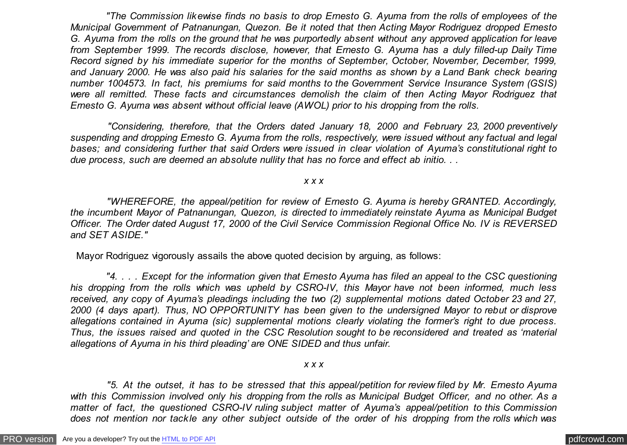*"The Commission likewise finds no basis to drop Ernesto G. Ayuma from the rolls of employees of the Municipal Government of Patnanungan, Quezon. Be it noted that then Acting Mayor Rodriguez dropped Ernesto G. Ayuma from the rolls on the ground that he was purportedly absent without any approved application for leave from September 1999. The records disclose, however, that Ernesto G. Ayuma has a duly filled-up Daily Time Record signed by his immediate superior for the months of September, October, November, December, 1999, and January 2000. He was also paid his salaries for the said months as shown by a Land Bank check bearing number 1004573. In fact, his premiums for said months to the Government Service Insurance System (GSIS) were all remitted. These facts and circumstances demolish the claim of then Acting Mayor Rodriguez that Ernesto G. Ayuma was absent without official leave (AWOL) prior to his dropping from the rolls.*

 *"Considering, therefore, that the Orders dated January 18, 2000 and February 23, 2000 preventively suspending and dropping Ernesto G. Ayuma from the rolls, respectively, were issued without any factual and legal bases; and considering further that said Orders were issued in clear violation of Ayuma's constitutional right to due process, such are deemed an absolute nullity that has no force and effect ab initio. . .*

*x x x*

 *"WHEREFORE, the appeal/petition for review of Ernesto G. Ayuma is hereby GRANTED. Accordingly, the incumbent Mayor of Patnanungan, Quezon, is directed to immediately reinstate Ayuma as Municipal Budget Officer. The Order dated August 17, 2000 of the Civil Service Commission Regional Office No. IV is REVERSED and SET ASIDE."*

Mayor Rodriguez vigorously assails the above quoted decision by arguing, as follows:

 *"4. . . . Except for the information given that Ernesto Ayuma has filed an appeal to the CSC questioning his dropping from the rolls which was upheld by CSRO-IV, this Mayor have not been informed, much less received, any copy of Ayuma's pleadings including the two (2) supplemental motions dated October 23 and 27, 2000 (4 days apart). Thus, NO OPPORTUNITY has been given to the undersigned Mayor to rebut or disprove allegations contained in Ayuma (sic) supplemental motions clearly violating the former's right to due process. Thus, the issues raised and quoted in the CSC Resolution sought to be reconsidered and treated as 'material allegations of Ayuma in his third pleading' are ONE SIDED and thus unfair.*

*x x x*

 *"5. At the outset, it has to be stressed that this appeal/petition for review filed by Mr. Ernesto Ayuma with this Commission involved only his dropping from the rolls as Municipal Budget Officer, and no other. As a matter of fact, the questioned CSRO-IV ruling subject matter of Ayuma's appeal/petition to this Commission does not mention nor tackle any other subject outside of the order of his dropping from the rolls which was*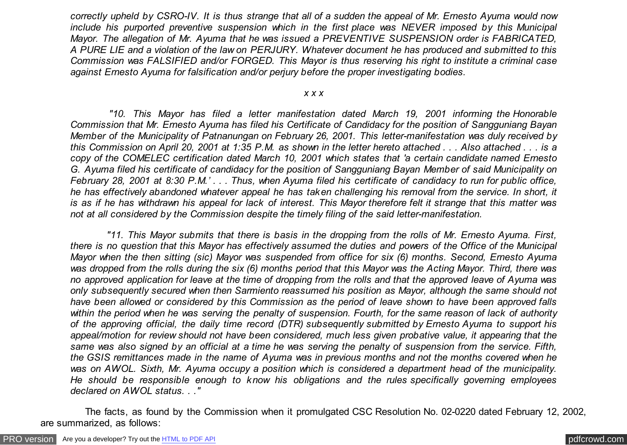*correctly upheld by CSRO-IV. It is thus strange that all of a sudden the appeal of Mr. Ernesto Ayuma would now include his purported preventive suspension which in the first place was NEVER imposed by this Municipal Mayor. The allegation of Mr. Ayuma that he was issued a PREVENTIVE SUSPENSION order is FABRICATED, A PURE LIE and a violation of the law on PERJURY. Whatever document he has produced and submitted to this Commission was FALSIFIED and/or FORGED. This Mayor is thus reserving his right to institute a criminal case against Ernesto Ayuma for falsification and/or perjury before the proper investigating bodies.*

## *x x x*

 *"10. This Mayor has filed a letter manifestation dated March 19, 2001 informing the Honorable Commission that Mr. Ernesto Ayuma has filed his Certificate of Candidacy for the position of Sangguniang Bayan Member of the Municipality of Patnanungan on February 26, 2001. This letter-manifestation was duly received by this Commission on April 20, 2001 at 1:35 P.M. as shown in the letter hereto attached . . . Also attached . . . is a copy of the COMELEC certification dated March 10, 2001 which states that 'a certain candidate named Ernesto G. Ayuma filed his certificate of candidacy for the position of Sangguniang Bayan Member of said Municipality on February 28, 2001 at 8:30 P.M.' . . . Thus, when Ayuma filed his certificate of candidacy to run for public office, he has effectively abandoned whatever appeal he has taken challenging his removal from the service. In short, it is as if he has withdrawn his appeal for lack of interest. This Mayor therefore felt it strange that this matter was not at all considered by the Commission despite the timely filing of the said letter-manifestation.*

 *"11. This Mayor submits that there is basis in the dropping from the rolls of Mr. Ernesto Ayuma. First, there is no question that this Mayor has effectively assumed the duties and powers of the Office of the Municipal Mayor when the then sitting (sic) Mayor was suspended from office for six (6) months. Second, Ernesto Ayuma was dropped from the rolls during the six (6) months period that this Mayor was the Acting Mayor. Third, there was no approved application for leave at the time of dropping from the rolls and that the approved leave of Ayuma was only subsequently secured when then Sarmiento reassumed his position as Mayor, although the same should not have been allowed or considered by this Commission as the period of leave shown to have been approved falls within the period when he was serving the penalty of suspension. Fourth, for the same reason of lack of authority of the approving official, the daily time record (DTR) subsequently submitted by Ernesto Ayuma to support his appeal/motion for review should not have been considered, much less given probative value, it appearing that the same was also signed by an official at a time he was serving the penalty of suspension from the service. Fifth, the GSIS remittances made in the name of Ayuma was in previous months and not the months covered when he was on AWOL. Sixth, Mr. Ayuma occupy a position which is considered a department head of the municipality. He should be responsible enough to know his obligations and the rules specifically governing employees declared on AWOL status. . ."*

 The facts, as found by the Commission when it promulgated CSC Resolution No. 02-0220 dated February 12, 2002, are summarized, as follows: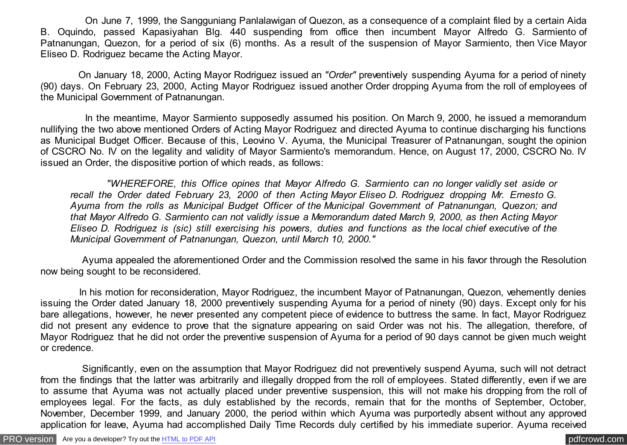On June 7, 1999, the Sangguniang Panlalawigan of Quezon, as a consequence of a complaint filed by a certain Aida B. Oquindo, passed Kapasiyahan Blg. 440 suspending from office then incumbent Mayor Alfredo G. Sarmiento of Patnanungan, Quezon, for a period of six (6) months. As a result of the suspension of Mayor Sarmiento, then Vice Mayor Eliseo D. Rodriguez became the Acting Mayor.

 On January 18, 2000, Acting Mayor Rodriguez issued an *"Order"* preventively suspending Ayuma for a period of ninety (90) days. On February 23, 2000, Acting Mayor Rodriguez issued another Order dropping Ayuma from the roll of employees of the Municipal Government of Patnanungan.

 In the meantime, Mayor Sarmiento supposedly assumed his position. On March 9, 2000, he issued a memorandum nullifying the two above mentioned Orders of Acting Mayor Rodriguez and directed Ayuma to continue discharging his functions as Municipal Budget Officer. Because of this, Leovino V. Ayuma, the Municipal Treasurer of Patnanungan, sought the opinion of CSCRO No. IV on the legality and validity of Mayor Sarmiento's memorandum. Hence, on August 17, 2000, CSCRO No. IV issued an Order, the dispositive portion of which reads, as follows:

 *"WHEREFORE, this Office opines that Mayor Alfredo G. Sarmiento can no longer validly set aside or recall the Order dated February 23, 2000 of then Acting Mayor Eliseo D. Rodriguez dropping Mr. Ernesto G. Ayuma from the rolls as Municipal Budget Officer of the Municipal Government of Patnanungan, Quezon; and that Mayor Alfredo G. Sarmiento can not validly issue a Memorandum dated March 9, 2000, as then Acting Mayor Eliseo D. Rodriguez is (sic) still exercising his powers, duties and functions as the local chief executive of the Municipal Government of Patnanungan, Quezon, until March 10, 2000."*

 Ayuma appealed the aforementioned Order and the Commission resolved the same in his favor through the Resolution now being sought to be reconsidered.

 In his motion for reconsideration, Mayor Rodriguez, the incumbent Mayor of Patnanungan, Quezon, vehemently denies issuing the Order dated January 18, 2000 preventively suspending Ayuma for a period of ninety (90) days. Except only for his bare allegations, however, he never presented any competent piece of evidence to buttress the same. In fact, Mayor Rodriguez did not present any evidence to prove that the signature appearing on said Order was not his. The allegation, therefore, of Mayor Rodriguez that he did not order the preventive suspension of Ayuma for a period of 90 days cannot be given much weight or credence.

 Significantly, even on the assumption that Mayor Rodriguez did not preventively suspend Ayuma, such will not detract from the findings that the latter was arbitrarily and illegally dropped from the roll of employees. Stated differently, even if we are to assume that Ayuma was not actually placed under preventive suspension, this will not make his dropping from the roll of employees legal. For the facts, as duly established by the records, remain that for the months of September, October, November, December 1999, and January 2000, the period within which Ayuma was purportedly absent without any approved application for leave, Ayuma had accomplished Daily Time Records duly certified by his immediate superior. Ayuma received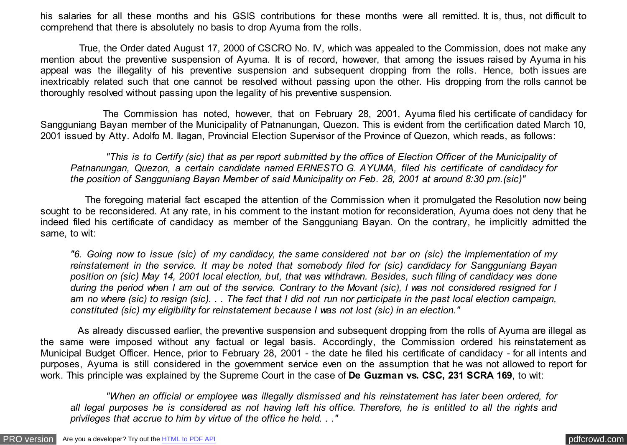his salaries for all these months and his GSIS contributions for these months were all remitted. It is, thus, not difficult to comprehend that there is absolutely no basis to drop Ayuma from the rolls.

 True, the Order dated August 17, 2000 of CSCRO No. IV, which was appealed to the Commission, does not make any mention about the preventive suspension of Ayuma. It is of record, however, that among the issues raised by Ayuma in his appeal was the illegality of his preventive suspension and subsequent dropping from the rolls. Hence, both issues are inextricably related such that one cannot be resolved without passing upon the other. His dropping from the rolls cannot be thoroughly resolved without passing upon the legality of his preventive suspension.

 The Commission has noted, however, that on February 28, 2001, Ayuma filed his certificate of candidacy for Sangguniang Bayan member of the Municipality of Patnanungan, Quezon. This is evident from the certification dated March 10, 2001 issued by Atty. Adolfo M. Ilagan, Provincial Election Supervisor of the Province of Quezon, which reads, as follows:

 *"This is to Certify (sic) that as per report submitted by the office of Election Officer of the Municipality of Patnanungan, Quezon, a certain candidate named ERNESTO G. AYUMA, filed his certificate of candidacy for the position of Sangguniang Bayan Member of said Municipality on Feb. 28, 2001 at around 8:30 pm.(sic)"*

 The foregoing material fact escaped the attention of the Commission when it promulgated the Resolution now being sought to be reconsidered. At any rate, in his comment to the instant motion for reconsideration, Ayuma does not deny that he indeed filed his certificate of candidacy as member of the Sangguniang Bayan. On the contrary, he implicitly admitted the same, to wit:

*"6. Going now to issue (sic) of my candidacy, the same considered not bar on (sic) the implementation of my reinstatement in the service. It may be noted that somebody filed for (sic) candidacy for Sangguniang Bayan position on (sic) May 14, 2001 local election, but, that was withdrawn. Besides, such filing of candidacy was done during the period when I am out of the service. Contrary to the Movant (sic), I was not considered resigned for I am no where (sic) to resign (sic). . . The fact that I did not run nor participate in the past local election campaign, constituted (sic) my eligibility for reinstatement because I was not lost (sic) in an election."*

 As already discussed earlier, the preventive suspension and subsequent dropping from the rolls of Ayuma are illegal as the same were imposed without any factual or legal basis. Accordingly, the Commission ordered his reinstatement as Municipal Budget Officer. Hence, prior to February 28, 2001 - the date he filed his certificate of candidacy - for all intents and purposes, Ayuma is still considered in the government service even on the assumption that he was not allowed to report for work. This principle was explained by the Supreme Court in the case of **De Guzman vs. CSC, 231 SCRA 169**, to wit:

 *"When an official or employee was illegally dismissed and his reinstatement has later been ordered, for all legal purposes he is considered as not having left his office. Therefore, he is entitled to all the rights and privileges that accrue to him by virtue of the office he held. . ."*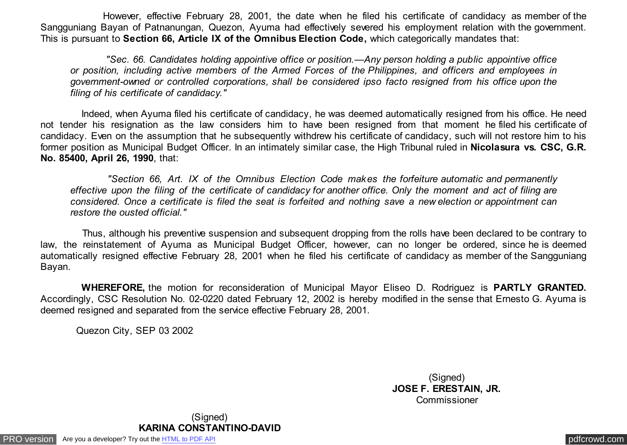However, effective February 28, 2001, the date when he filed his certificate of candidacy as member of the Sangguniang Bayan of Patnanungan, Quezon, Ayuma had effectively severed his employment relation with the government. This is pursuant to **Section 66, Article IX of the Omnibus Election Code,** which categorically mandates that:

 *"Sec. 66. Candidates holding appointive office or position.—Any person holding a public appointive office or position, including active members of the Armed Forces of the Philippines, and officers and employees in government-owned or controlled corporations, shall be considered ipso facto resigned from his office upon the filing of his certificate of candidacy."*

 Indeed, when Ayuma filed his certificate of candidacy, he was deemed automatically resigned from his office. He need not tender his resignation as the law considers him to have been resigned from that moment he filed his certificate of candidacy. Even on the assumption that he subsequently withdrew his certificate of candidacy, such will not restore him to his former position as Municipal Budget Officer. In an intimately similar case, the High Tribunal ruled in **Nicolasura vs. CSC, G.R. No. 85400, April 26, 1990**, that:

 *"Section 66, Art. IX of the Omnibus Election Code makes the forfeiture automatic and permanently effective upon the filing of the certificate of candidacy for another office. Only the moment and act of filing are considered. Once a certificate is filed the seat is forfeited and nothing save a new election or appointment can restore the ousted official."*

 Thus, although his preventive suspension and subsequent dropping from the rolls have been declared to be contrary to law, the reinstatement of Ayuma as Municipal Budget Officer, however, can no longer be ordered, since he is deemed automatically resigned effective February 28, 2001 when he filed his certificate of candidacy as member of the Sangguniang Bayan.

 **WHEREFORE,** the motion for reconsideration of Municipal Mayor Eliseo D. Rodriguez is **PARTLY GRANTED.** Accordingly, CSC Resolution No. 02-0220 dated February 12, 2002 is hereby modified in the sense that Ernesto G. Ayuma is deemed resigned and separated from the service effective February 28, 2001.

Quezon City, SEP 03 2002

(Signed) **JOSE F. ERESTAIN, JR. Commissioner** 

[PRO version](http://pdfcrowd.com/customize/) Are you a developer? Try out th[e HTML to PDF API](http://pdfcrowd.com/html-to-pdf-api/?ref=pdf) provided and the community of the HTML to PDF API [pdfcrowd.com](http://pdfcrowd.com) pdfcrowd.com (Signed) **KARINA CONSTANTINO-DAVID**